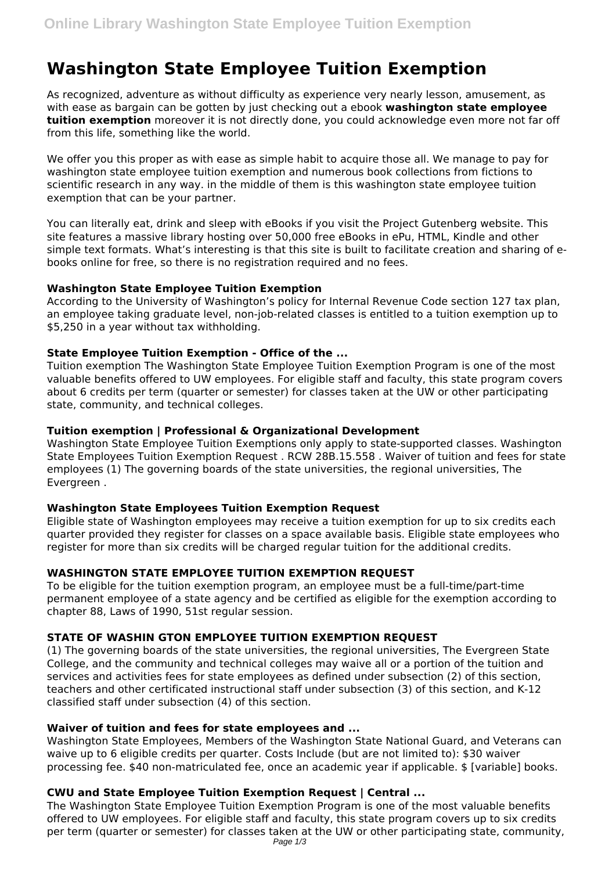# **Washington State Employee Tuition Exemption**

As recognized, adventure as without difficulty as experience very nearly lesson, amusement, as with ease as bargain can be gotten by just checking out a ebook **washington state employee tuition exemption** moreover it is not directly done, you could acknowledge even more not far off from this life, something like the world.

We offer you this proper as with ease as simple habit to acquire those all. We manage to pay for washington state employee tuition exemption and numerous book collections from fictions to scientific research in any way. in the middle of them is this washington state employee tuition exemption that can be your partner.

You can literally eat, drink and sleep with eBooks if you visit the Project Gutenberg website. This site features a massive library hosting over 50,000 free eBooks in ePu, HTML, Kindle and other simple text formats. What's interesting is that this site is built to facilitate creation and sharing of ebooks online for free, so there is no registration required and no fees.

#### **Washington State Employee Tuition Exemption**

According to the University of Washington's policy for Internal Revenue Code section 127 tax plan, an employee taking graduate level, non-job-related classes is entitled to a tuition exemption up to \$5,250 in a year without tax withholding.

#### **State Employee Tuition Exemption - Office of the ...**

Tuition exemption The Washington State Employee Tuition Exemption Program is one of the most valuable benefits offered to UW employees. For eligible staff and faculty, this state program covers about 6 credits per term (quarter or semester) for classes taken at the UW or other participating state, community, and technical colleges.

#### **Tuition exemption | Professional & Organizational Development**

Washington State Employee Tuition Exemptions only apply to state-supported classes. Washington State Employees Tuition Exemption Request . RCW 28B.15.558 . Waiver of tuition and fees for state employees (1) The governing boards of the state universities, the regional universities, The Evergreen .

### **Washington State Employees Tuition Exemption Request**

Eligible state of Washington employees may receive a tuition exemption for up to six credits each quarter provided they register for classes on a space available basis. Eligible state employees who register for more than six credits will be charged regular tuition for the additional credits.

## **WASHINGTON STATE EMPLOYEE TUITION EXEMPTION REQUEST**

To be eligible for the tuition exemption program, an employee must be a full-time/part-time permanent employee of a state agency and be certified as eligible for the exemption according to chapter 88, Laws of 1990, 51st regular session.

## **STATE OF WASHIN GTON EMPLOYEE TUITION EXEMPTION REQUEST**

(1) The governing boards of the state universities, the regional universities, The Evergreen State College, and the community and technical colleges may waive all or a portion of the tuition and services and activities fees for state employees as defined under subsection (2) of this section, teachers and other certificated instructional staff under subsection (3) of this section, and K-12 classified staff under subsection (4) of this section.

#### **Waiver of tuition and fees for state employees and ...**

Washington State Employees, Members of the Washington State National Guard, and Veterans can waive up to 6 eligible credits per quarter. Costs Include (but are not limited to): \$30 waiver processing fee. \$40 non-matriculated fee, once an academic year if applicable. \$ [variable] books.

### **CWU and State Employee Tuition Exemption Request | Central ...**

The Washington State Employee Tuition Exemption Program is one of the most valuable benefits offered to UW employees. For eligible staff and faculty, this state program covers up to six credits per term (quarter or semester) for classes taken at the UW or other participating state, community,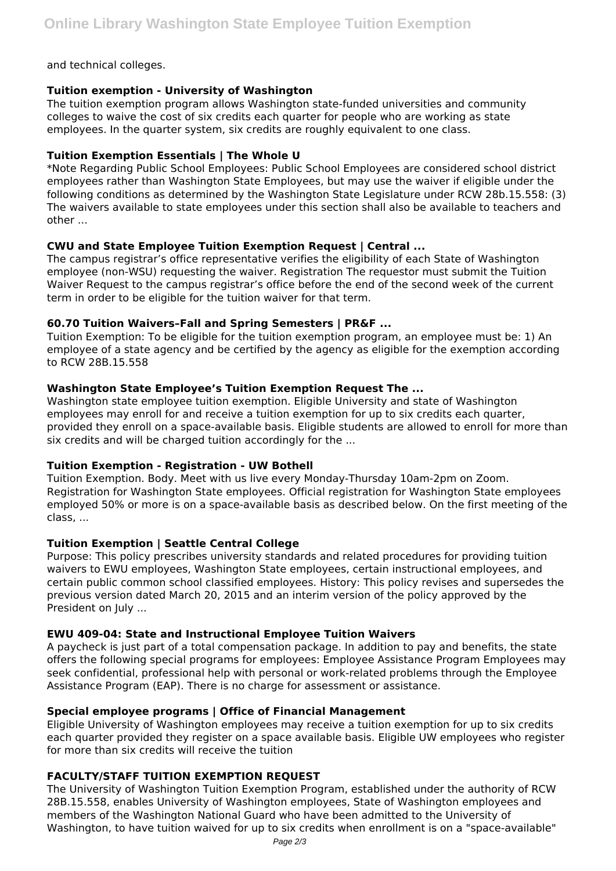and technical colleges.

### **Tuition exemption - University of Washington**

The tuition exemption program allows Washington state-funded universities and community colleges to waive the cost of six credits each quarter for people who are working as state employees. In the quarter system, six credits are roughly equivalent to one class.

### **Tuition Exemption Essentials | The Whole U**

\*Note Regarding Public School Employees: Public School Employees are considered school district employees rather than Washington State Employees, but may use the waiver if eligible under the following conditions as determined by the Washington State Legislature under RCW 28b.15.558: (3) The waivers available to state employees under this section shall also be available to teachers and other ...

### **CWU and State Employee Tuition Exemption Request | Central ...**

The campus registrar's office representative verifies the eligibility of each State of Washington employee (non-WSU) requesting the waiver. Registration The requestor must submit the Tuition Waiver Request to the campus registrar's office before the end of the second week of the current term in order to be eligible for the tuition waiver for that term.

### **60.70 Tuition Waivers–Fall and Spring Semesters | PR&F ...**

Tuition Exemption: To be eligible for the tuition exemption program, an employee must be: 1) An employee of a state agency and be certified by the agency as eligible for the exemption according to RCW 28B.15.558

### **Washington State Employee's Tuition Exemption Request The ...**

Washington state employee tuition exemption. Eligible University and state of Washington employees may enroll for and receive a tuition exemption for up to six credits each quarter, provided they enroll on a space-available basis. Eligible students are allowed to enroll for more than six credits and will be charged tuition accordingly for the ...

### **Tuition Exemption - Registration - UW Bothell**

Tuition Exemption. Body. Meet with us live every Monday-Thursday 10am-2pm on Zoom. Registration for Washington State employees. Official registration for Washington State employees employed 50% or more is on a space-available basis as described below. On the first meeting of the class, ...

### **Tuition Exemption | Seattle Central College**

Purpose: This policy prescribes university standards and related procedures for providing tuition waivers to EWU employees, Washington State employees, certain instructional employees, and certain public common school classified employees. History: This policy revises and supersedes the previous version dated March 20, 2015 and an interim version of the policy approved by the President on July ...

### **EWU 409-04: State and Instructional Employee Tuition Waivers**

A paycheck is just part of a total compensation package. In addition to pay and benefits, the state offers the following special programs for employees: Employee Assistance Program Employees may seek confidential, professional help with personal or work-related problems through the Employee Assistance Program (EAP). There is no charge for assessment or assistance.

### **Special employee programs | Office of Financial Management**

Eligible University of Washington employees may receive a tuition exemption for up to six credits each quarter provided they register on a space available basis. Eligible UW employees who register for more than six credits will receive the tuition

## **FACULTY/STAFF TUITION EXEMPTION REQUEST**

The University of Washington Tuition Exemption Program, established under the authority of RCW 28B.15.558, enables University of Washington employees, State of Washington employees and members of the Washington National Guard who have been admitted to the University of Washington, to have tuition waived for up to six credits when enrollment is on a "space-available"